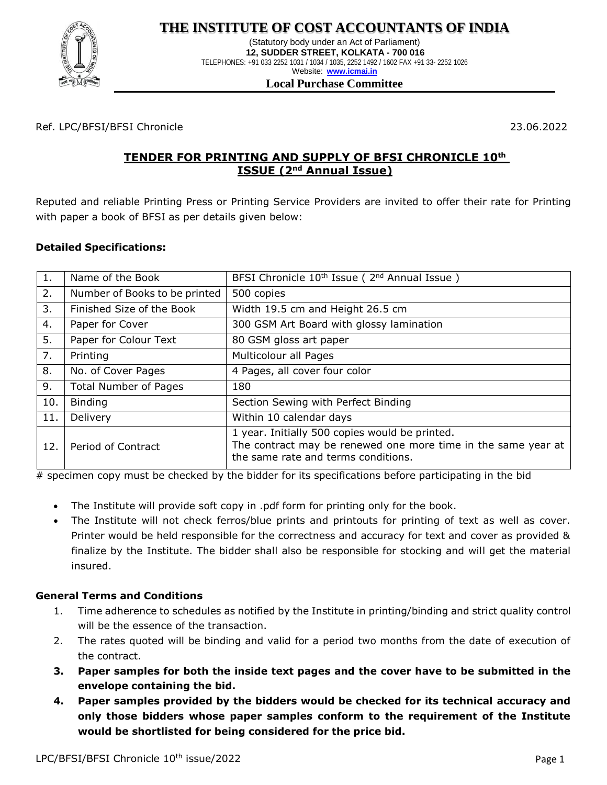

## **THE INSTITUTE OF COST ACCOUNTANTS OF INDIA**

(Statutory body under an Act of Parliament) **12, SUDDER STREET, KOLKATA - 700 016** TELEPHONES: +91 033 2252 1031 / 1034 / 1035, 2252 1492 / 1602 FAX +91 33- 2252 1026 Website: **[www.icmai.in](http://www.icmai.in/)**

#### **Local Purchase Committee**

Ref. LPC/BFSI/BFSI Chronicle 23.06.2022

## **TENDER FOR PRINTING AND SUPPLY OF BFSI CHRONICLE 10th ISSUE (2nd Annual Issue)**

Reputed and reliable Printing Press or Printing Service Providers are invited to offer their rate for Printing with paper a book of BFSI as per details given below:

#### **Detailed Specifications:**

| 1.  | Name of the Book              | BFSI Chronicle 10 <sup>th</sup> Issue (2 <sup>nd</sup> Annual Issue)                                                                                   |  |
|-----|-------------------------------|--------------------------------------------------------------------------------------------------------------------------------------------------------|--|
| 2.  | Number of Books to be printed | 500 copies                                                                                                                                             |  |
| 3.  | Finished Size of the Book     | Width 19.5 cm and Height 26.5 cm                                                                                                                       |  |
| 4.  | Paper for Cover               | 300 GSM Art Board with glossy lamination                                                                                                               |  |
| 5.  | Paper for Colour Text         | 80 GSM gloss art paper                                                                                                                                 |  |
| 7.  | Printing                      | Multicolour all Pages                                                                                                                                  |  |
| 8.  | No. of Cover Pages            | 4 Pages, all cover four color                                                                                                                          |  |
| 9.  | <b>Total Number of Pages</b>  | 180                                                                                                                                                    |  |
| 10. | <b>Binding</b>                | Section Sewing with Perfect Binding                                                                                                                    |  |
| 11. | Delivery                      | Within 10 calendar days                                                                                                                                |  |
| 12. | Period of Contract            | 1 year. Initially 500 copies would be printed.<br>The contract may be renewed one more time in the same year at<br>the same rate and terms conditions. |  |

# specimen copy must be checked by the bidder for its specifications before participating in the bid

- The Institute will provide soft copy in .pdf form for printing only for the book.
- The Institute will not check ferros/blue prints and printouts for printing of text as well as cover. Printer would be held responsible for the correctness and accuracy for text and cover as provided & finalize by the Institute. The bidder shall also be responsible for stocking and will get the material insured.

#### **General Terms and Conditions**

- 1. Time adherence to schedules as notified by the Institute in printing/binding and strict quality control will be the essence of the transaction.
- 2. The rates quoted will be binding and valid for a period two months from the date of execution of the contract.
- **3. Paper samples for both the inside text pages and the cover have to be submitted in the envelope containing the bid.**
- **4. Paper samples provided by the bidders would be checked for its technical accuracy and only those bidders whose paper samples conform to the requirement of the Institute would be shortlisted for being considered for the price bid.**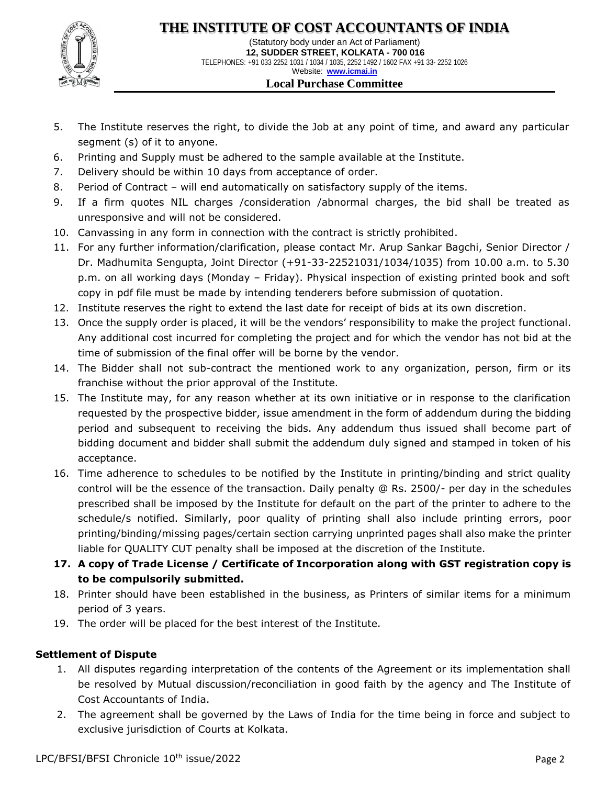

(Statutory body under an Act of Parliament) **12, SUDDER STREET, KOLKATA - 700 016** TELEPHONES: +91 033 2252 1031 / 1034 / 1035, 2252 1492 / 1602 FAX +91 33- 2252 1026 Website: **[www.icmai.in](http://www.icmai.in/) Local Purchase Committee**

- 5. The Institute reserves the right, to divide the Job at any point of time, and award any particular segment (s) of it to anyone.
- 6. Printing and Supply must be adhered to the sample available at the Institute.
- 7. Delivery should be within 10 days from acceptance of order.
- 8. Period of Contract will end automatically on satisfactory supply of the items.
- 9. If a firm quotes NIL charges /consideration /abnormal charges, the bid shall be treated as unresponsive and will not be considered.
- 10. Canvassing in any form in connection with the contract is strictly prohibited.
- 11. For any further information/clarification, please contact Mr. Arup Sankar Bagchi, Senior Director / Dr. Madhumita Sengupta, Joint Director (+91-33-22521031/1034/1035) from 10.00 a.m. to 5.30 p.m. on all working days (Monday – Friday). Physical inspection of existing printed book and soft copy in pdf file must be made by intending tenderers before submission of quotation.
- 12. Institute reserves the right to extend the last date for receipt of bids at its own discretion.
- 13. Once the supply order is placed, it will be the vendors' responsibility to make the project functional. Any additional cost incurred for completing the project and for which the vendor has not bid at the time of submission of the final offer will be borne by the vendor.
- 14. The Bidder shall not sub-contract the mentioned work to any organization, person, firm or its franchise without the prior approval of the Institute.
- 15. The Institute may, for any reason whether at its own initiative or in response to the clarification requested by the prospective bidder, issue amendment in the form of addendum during the bidding period and subsequent to receiving the bids. Any addendum thus issued shall become part of bidding document and bidder shall submit the addendum duly signed and stamped in token of his acceptance.
- 16. Time adherence to schedules to be notified by the Institute in printing/binding and strict quality control will be the essence of the transaction. Daily penalty @ Rs. 2500/- per day in the schedules prescribed shall be imposed by the Institute for default on the part of the printer to adhere to the schedule/s notified. Similarly, poor quality of printing shall also include printing errors, poor printing/binding/missing pages/certain section carrying unprinted pages shall also make the printer liable for QUALITY CUT penalty shall be imposed at the discretion of the Institute.
- **17. A copy of Trade License / Certificate of Incorporation along with GST registration copy is to be compulsorily submitted.**
- 18. Printer should have been established in the business, as Printers of similar items for a minimum period of 3 years.
- 19. The order will be placed for the best interest of the Institute.

### **Settlement of Dispute**

- 1. All disputes regarding interpretation of the contents of the Agreement or its implementation shall be resolved by Mutual discussion/reconciliation in good faith by the agency and The Institute of Cost Accountants of India.
- 2. The agreement shall be governed by the Laws of India for the time being in force and subject to exclusive jurisdiction of Courts at Kolkata.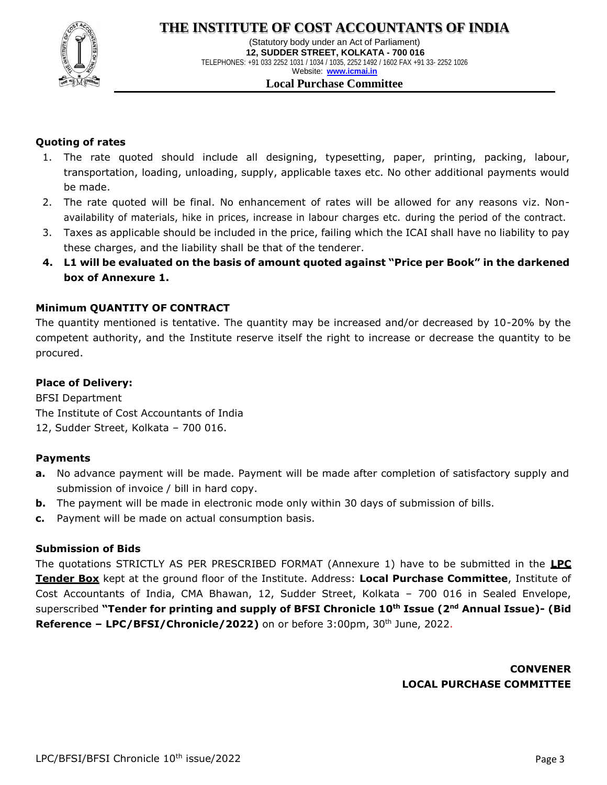

(Statutory body under an Act of Parliament) **12, SUDDER STREET, KOLKATA - 700 016** TELEPHONES: +91 033 2252 1031 / 1034 / 1035, 2252 1492 / 1602 FAX +91 33- 2252 1026 Website: **[www.icmai.in](http://www.icmai.in/) Local Purchase Committee**

#### **Quoting of rates**

- 1. The rate quoted should include all designing, typesetting, paper, printing, packing, labour, transportation, loading, unloading, supply, applicable taxes etc. No other additional payments would be made.
- 2. The rate quoted will be final. No enhancement of rates will be allowed for any reasons viz. Nonavailability of materials, hike in prices, increase in labour charges etc. during the period of the contract.
- 3. Taxes as applicable should be included in the price, failing which the ICAI shall have no liability to pay these charges, and the liability shall be that of the tenderer.
- **4. L1 will be evaluated on the basis of amount quoted against "Price per Book" in the darkened box of Annexure 1.**

#### **Minimum QUANTITY OF CONTRACT**

The quantity mentioned is tentative. The quantity may be increased and/or decreased by 10-20% by the competent authority, and the Institute reserve itself the right to increase or decrease the quantity to be procured.

#### **Place of Delivery:**

BFSI Department The Institute of Cost Accountants of India 12, Sudder Street, Kolkata – 700 016.

#### **Payments**

- **a.** No advance payment will be made. Payment will be made after completion of satisfactory supply and submission of invoice / bill in hard copy.
- **b.** The payment will be made in electronic mode only within 30 days of submission of bills.
- **c.** Payment will be made on actual consumption basis.

#### **Submission of Bids**

The quotations STRICTLY AS PER PRESCRIBED FORMAT (Annexure 1) have to be submitted in the **LPC Tender Box** kept at the ground floor of the Institute. Address: **Local Purchase Committee**, Institute of Cost Accountants of India, CMA Bhawan, 12, Sudder Street, Kolkata – 700 016 in Sealed Envelope, superscribed **"Tender for printing and supply of BFSI Chronicle 10th Issue (2nd Annual Issue)- (Bid Reference – LPC/BFSI/Chronicle/2022)** on or before 3:00pm, 30th June, 2022.

> **CONVENER LOCAL PURCHASE COMMITTEE**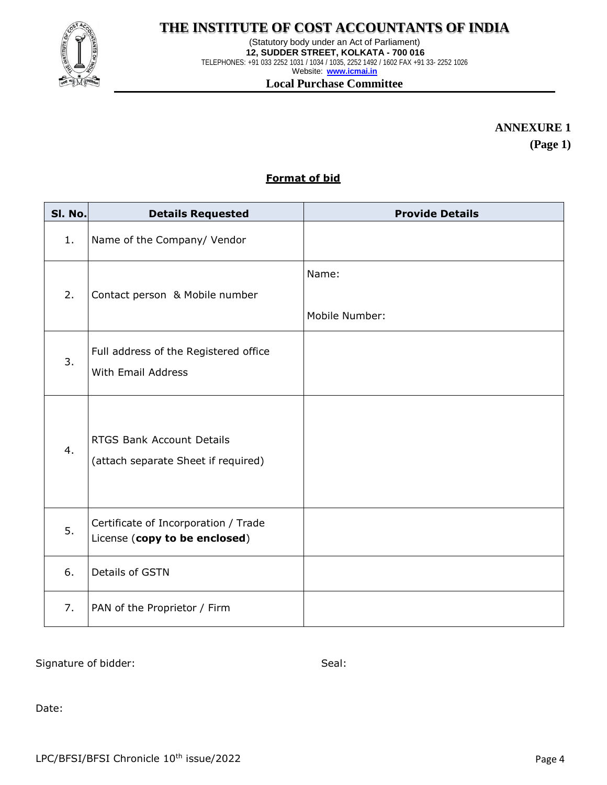

# **THE INSTITUTE OF COST ACCOUNTANTS OF INDIA**

(Statutory body under an Act of Parliament) **12, SUDDER STREET, KOLKATA - 700 016** TELEPHONES: +91 033 2252 1031 / 1034 / 1035, 2252 1492 / 1602 FAX +91 33- 2252 1026 Website: **[www.icmai.in](http://www.icmai.in/) Local Purchase Committee**

**ANNEXURE 1**

**(Page 1)**

#### **Format of bid**

| SI. No. | <b>Details Requested</b>                                              | <b>Provide Details</b>  |
|---------|-----------------------------------------------------------------------|-------------------------|
| 1.      | Name of the Company/ Vendor                                           |                         |
| 2.      | Contact person & Mobile number                                        | Name:<br>Mobile Number: |
| 3.      | Full address of the Registered office<br>With Email Address           |                         |
| 4.      | RTGS Bank Account Details<br>(attach separate Sheet if required)      |                         |
| 5.      | Certificate of Incorporation / Trade<br>License (copy to be enclosed) |                         |
| 6.      | Details of GSTN                                                       |                         |
| 7.      | PAN of the Proprietor / Firm                                          |                         |

Signature of bidder: Seal: Seal: Seal: Seal: Seal: Seal: Seal: Seal: Seal: Seal: Seal: Seal: Seal: Seal: Seal: Seal: Seal: Seal: Seal: Seal: Seal: Seal: Seal: Seal: Seal: Seal: Seal: Seal: Seal: Seal: Seal: Seal: Seal: Sea

Date: